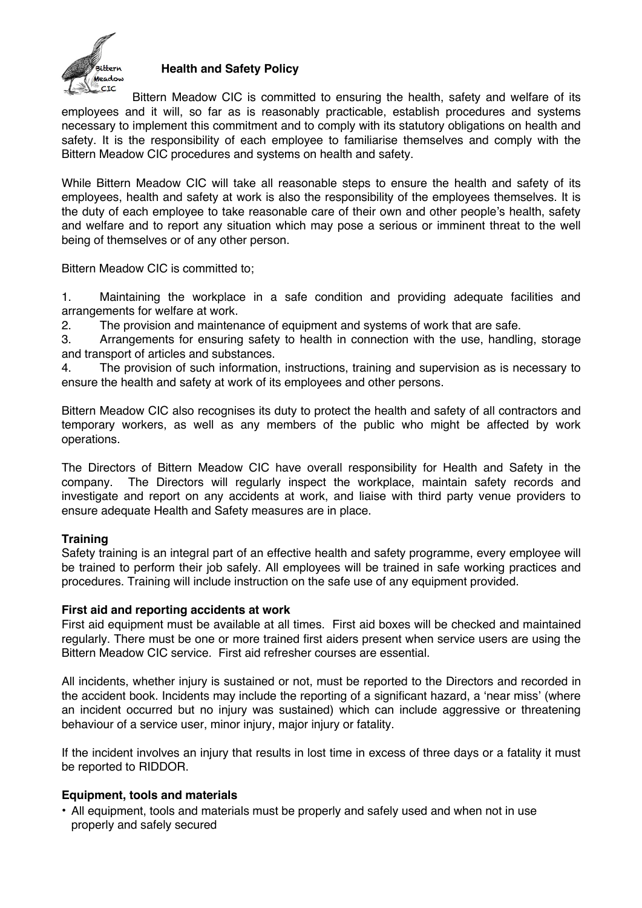

### **Health and Safety Policy**

Bittern Meadow CIC is committed to ensuring the health, safety and welfare of its employees and it will, so far as is reasonably practicable, establish procedures and systems necessary to implement this commitment and to comply with its statutory obligations on health and safety. It is the responsibility of each employee to familiarise themselves and comply with the Bittern Meadow CIC procedures and systems on health and safety.

While Bittern Meadow CIC will take all reasonable steps to ensure the health and safety of its employees, health and safety at work is also the responsibility of the employees themselves. It is the duty of each employee to take reasonable care of their own and other people's health, safety and welfare and to report any situation which may pose a serious or imminent threat to the well being of themselves or of any other person.

Bittern Meadow CIC is committed to;

1. Maintaining the workplace in a safe condition and providing adequate facilities and arrangements for welfare at work.

2. The provision and maintenance of equipment and systems of work that are safe.

3. Arrangements for ensuring safety to health in connection with the use, handling, storage and transport of articles and substances.

4. The provision of such information, instructions, training and supervision as is necessary to ensure the health and safety at work of its employees and other persons.

Bittern Meadow CIC also recognises its duty to protect the health and safety of all contractors and temporary workers, as well as any members of the public who might be affected by work operations.

The Directors of Bittern Meadow CIC have overall responsibility for Health and Safety in the company. The Directors will regularly inspect the workplace, maintain safety records and investigate and report on any accidents at work, and liaise with third party venue providers to ensure adequate Health and Safety measures are in place.

## **Training**

Safety training is an integral part of an effective health and safety programme, every employee will be trained to perform their job safely. All employees will be trained in safe working practices and procedures. Training will include instruction on the safe use of any equipment provided.

### **First aid and reporting accidents at work**

First aid equipment must be available at all times. First aid boxes will be checked and maintained regularly. There must be one or more trained first aiders present when service users are using the Bittern Meadow CIC service. First aid refresher courses are essential.

All incidents, whether injury is sustained or not, must be reported to the Directors and recorded in the accident book. Incidents may include the reporting of a significant hazard, a 'near miss' (where an incident occurred but no injury was sustained) which can include aggressive or threatening behaviour of a service user, minor injury, major injury or fatality.

If the incident involves an injury that results in lost time in excess of three days or a fatality it must be reported to RIDDOR.

### **Equipment, tools and materials**

• All equipment, tools and materials must be properly and safely used and when not in use properly and safely secured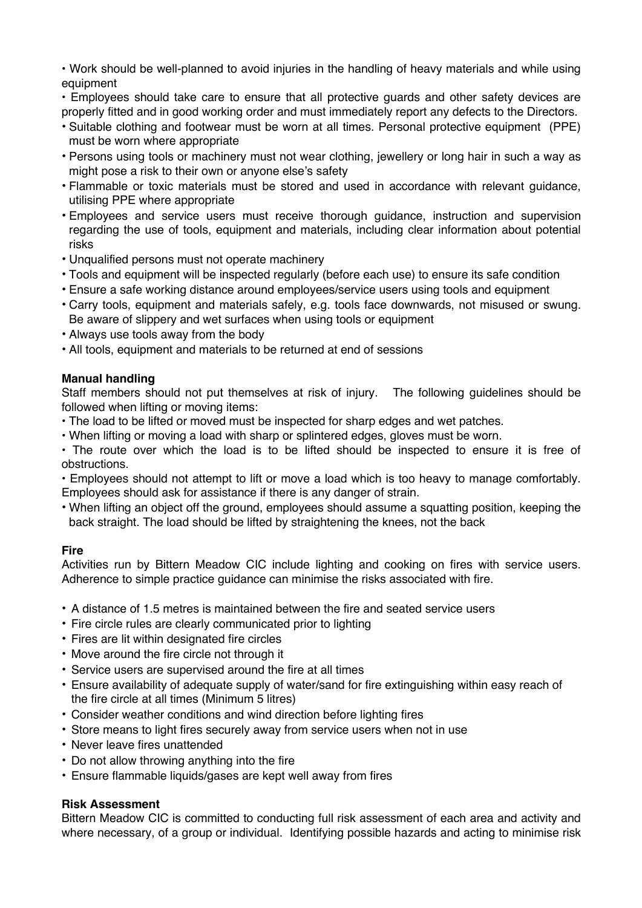• Work should be well-planned to avoid injuries in the handling of heavy materials and while using equipment

• Employees should take care to ensure that all protective guards and other safety devices are properly fitted and in good working order and must immediately report any defects to the Directors.

- Suitable clothing and footwear must be worn at all times. Personal protective equipment (PPE) must be worn where appropriate
- Persons using tools or machinery must not wear clothing, jewellery or long hair in such a way as might pose a risk to their own or anyone else's safety
- Flammable or toxic materials must be stored and used in accordance with relevant guidance, utilising PPE where appropriate
- Employees and service users must receive thorough guidance, instruction and supervision regarding the use of tools, equipment and materials, including clear information about potential risks
- Unqualified persons must not operate machinery
- Tools and equipment will be inspected regularly (before each use) to ensure its safe condition
- Ensure a safe working distance around employees/service users using tools and equipment
- Carry tools, equipment and materials safely, e.g. tools face downwards, not misused or swung. Be aware of slippery and wet surfaces when using tools or equipment
- Always use tools away from the body
- All tools, equipment and materials to be returned at end of sessions

# **Manual handling**

Staff members should not put themselves at risk of injury. The following guidelines should be followed when lifting or moving items:

- The load to be lifted or moved must be inspected for sharp edges and wet patches.
- When lifting or moving a load with sharp or splintered edges, gloves must be worn.

• The route over which the load is to be lifted should be inspected to ensure it is free of obstructions.

• Employees should not attempt to lift or move a load which is too heavy to manage comfortably. Employees should ask for assistance if there is any danger of strain.

• When lifting an object off the ground, employees should assume a squatting position, keeping the back straight. The load should be lifted by straightening the knees, not the back

## **Fire**

Activities run by Bittern Meadow CIC include lighting and cooking on fires with service users. Adherence to simple practice guidance can minimise the risks associated with fire.

- A distance of 1.5 metres is maintained between the fire and seated service users
- Fire circle rules are clearly communicated prior to lighting
- Fires are lit within designated fire circles
- Move around the fire circle not through it
- Service users are supervised around the fire at all times
- Ensure availability of adequate supply of water/sand for fire extinguishing within easy reach of the fire circle at all times (Minimum 5 litres)
- Consider weather conditions and wind direction before lighting fires
- Store means to light fires securely away from service users when not in use
- Never leave fires unattended
- Do not allow throwing anything into the fire
- Ensure flammable liquids/gases are kept well away from fires

## **Risk Assessment**

Bittern Meadow CIC is committed to conducting full risk assessment of each area and activity and where necessary, of a group or individual. Identifying possible hazards and acting to minimise risk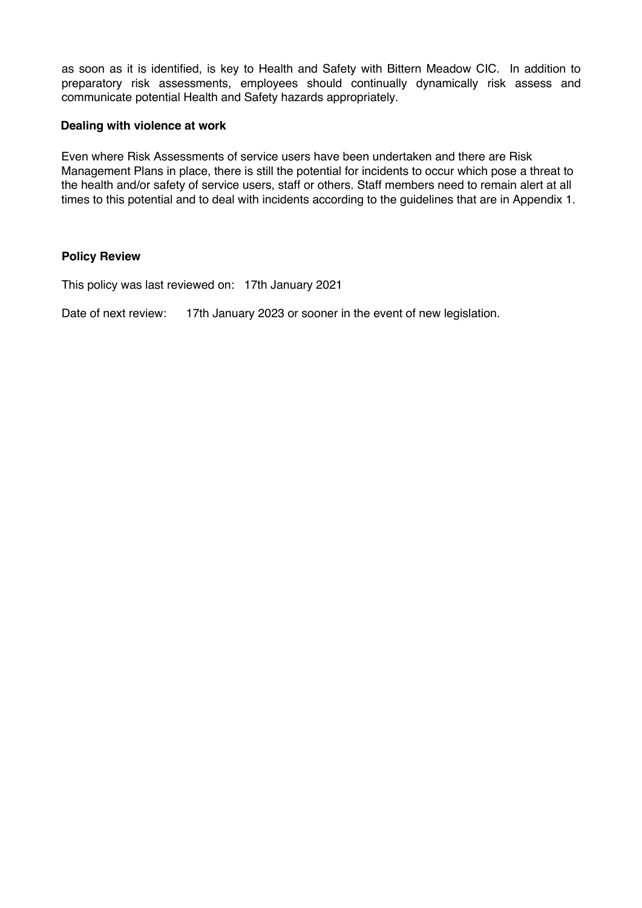as soon as it is identified, is key to Health and Safety with Bittern Meadow CIC. In addition to preparatory risk assessments, employees should continually dynamically risk assess and communicate potential Health and Safety hazards appropriately.

### **Dealing with violence at work**

Even where Risk Assessments of service users have been undertaken and there are Risk Management Plans in place, there is still the potential for incidents to occur which pose a threat to the health and/or safety of service users, staff or others. Staff members need to remain alert at all times to this potential and to deal with incidents according to the guidelines that are in Appendix 1.

### **Policy Review**

This policy was last reviewed on: 17th January 2021

Date of next review: 17th January 2023 or sooner in the event of new legislation.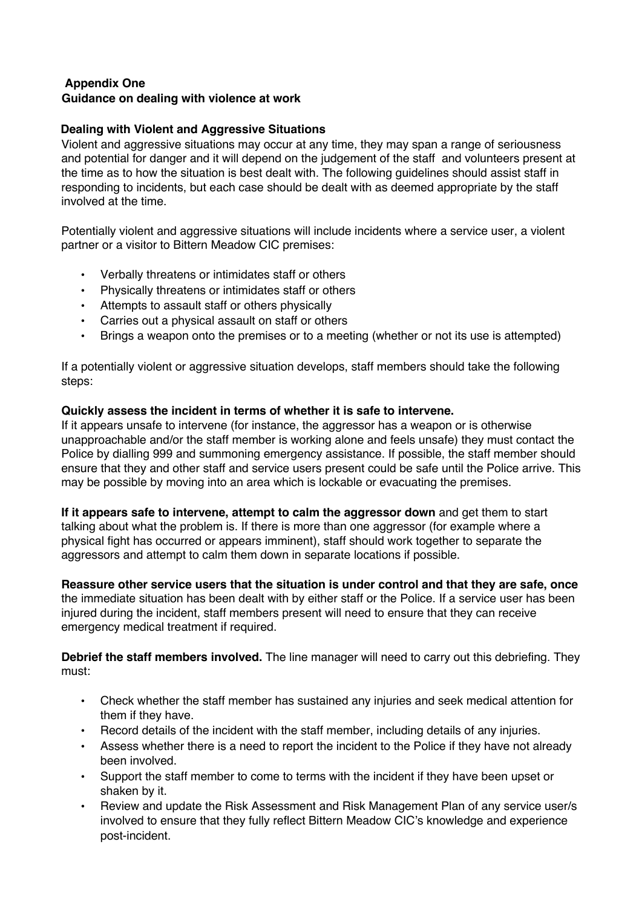### **Appendix One Guidance on dealing with violence at work**

## **Dealing with Violent and Aggressive Situations**

Violent and aggressive situations may occur at any time, they may span a range of seriousness and potential for danger and it will depend on the judgement of the staff and volunteers present at the time as to how the situation is best dealt with. The following guidelines should assist staff in responding to incidents, but each case should be dealt with as deemed appropriate by the staff involved at the time.

Potentially violent and aggressive situations will include incidents where a service user, a violent partner or a visitor to Bittern Meadow CIC premises:

- Verbally threatens or intimidates staff or others
- Physically threatens or intimidates staff or others
- Attempts to assault staff or others physically
- Carries out a physical assault on staff or others
- Brings a weapon onto the premises or to a meeting (whether or not its use is attempted)

If a potentially violent or aggressive situation develops, staff members should take the following steps:

### **Quickly assess the incident in terms of whether it is safe to intervene.**

If it appears unsafe to intervene (for instance, the aggressor has a weapon or is otherwise unapproachable and/or the staff member is working alone and feels unsafe) they must contact the Police by dialling 999 and summoning emergency assistance. If possible, the staff member should ensure that they and other staff and service users present could be safe until the Police arrive. This may be possible by moving into an area which is lockable or evacuating the premises.

**If it appears safe to intervene, attempt to calm the aggressor down** and get them to start talking about what the problem is. If there is more than one aggressor (for example where a physical fight has occurred or appears imminent), staff should work together to separate the aggressors and attempt to calm them down in separate locations if possible.

**Reassure other service users that the situation is under control and that they are safe, once**  the immediate situation has been dealt with by either staff or the Police. If a service user has been injured during the incident, staff members present will need to ensure that they can receive emergency medical treatment if required.

**Debrief the staff members involved.** The line manager will need to carry out this debriefing. They must:

- Check whether the staff member has sustained any injuries and seek medical attention for them if they have.
- Record details of the incident with the staff member, including details of any injuries.
- Assess whether there is a need to report the incident to the Police if they have not already been involved.
- Support the staff member to come to terms with the incident if they have been upset or shaken by it.
- Review and update the Risk Assessment and Risk Management Plan of any service user/s involved to ensure that they fully reflect Bittern Meadow CIC's knowledge and experience post-incident.